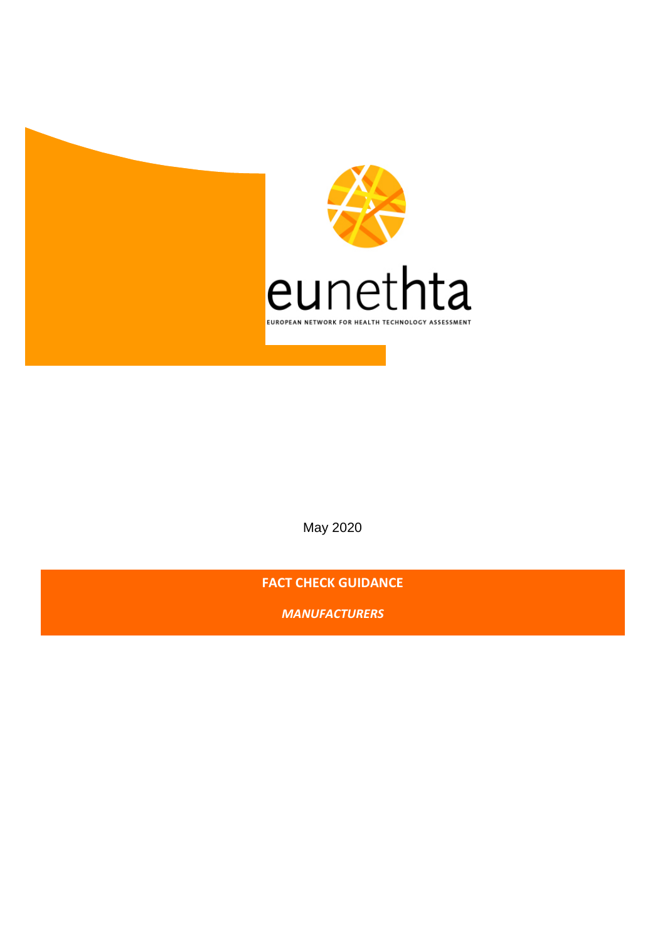

May 2020

**FACT CHECK GUIDANCE** 

*MANUFACTURERS*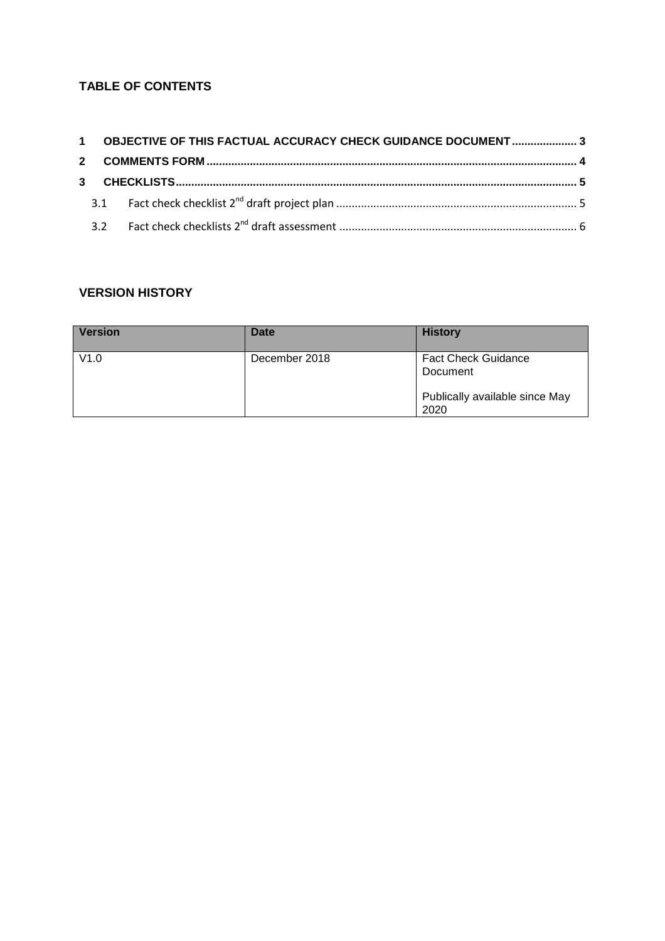## **TABLE OF CONTENTS**

|  | 1 OBJECTIVE OF THIS FACTUAL ACCURACY CHECK GUIDANCE DOCUMENT  3 |  |
|--|-----------------------------------------------------------------|--|
|  |                                                                 |  |
|  |                                                                 |  |
|  |                                                                 |  |
|  |                                                                 |  |

# **VERSION HISTORY**

|      |               | <b>History</b>                                                                   |
|------|---------------|----------------------------------------------------------------------------------|
| V1.0 | December 2018 | <b>Fact Check Guidance</b><br>Document<br>Publically available since May<br>2020 |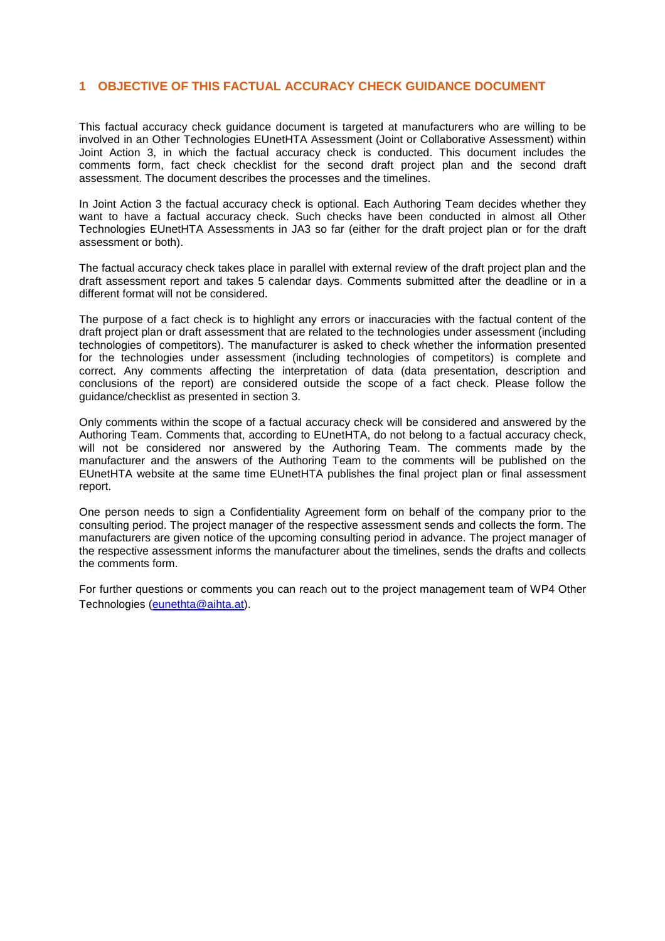### **1 OBJECTIVE OF THIS FACTUAL ACCURACY CHECK GUIDANCE DOCUMENT**

This factual accuracy check guidance document is targeted at manufacturers who are willing to be involved in an Other Technologies EUnetHTA Assessment (Joint or Collaborative Assessment) within Joint Action 3, in which the factual accuracy check is conducted. This document includes the comments form, fact check checklist for the second draft project plan and the second draft assessment. The document describes the processes and the timelines.

In Joint Action 3 the factual accuracy check is optional. Each Authoring Team decides whether they want to have a factual accuracy check. Such checks have been conducted in almost all Other Technologies EUnetHTA Assessments in JA3 so far (either for the draft project plan or for the draft assessment or both).

The factual accuracy check takes place in parallel with external review of the draft project plan and the draft assessment report and takes 5 calendar days. Comments submitted after the deadline or in a different format will not be considered.

The purpose of a fact check is to highlight any errors or inaccuracies with the factual content of the draft project plan or draft assessment that are related to the technologies under assessment (including technologies of competitors). The manufacturer is asked to check whether the information presented for the technologies under assessment (including technologies of competitors) is complete and correct. Any comments affecting the interpretation of data (data presentation, description and conclusions of the report) are considered outside the scope of a fact check. Please follow the guidance/checklist as presented in section 3.

Only comments within the scope of a factual accuracy check will be considered and answered by the Authoring Team. Comments that, according to EUnetHTA, do not belong to a factual accuracy check, will not be considered nor answered by the Authoring Team. The comments made by the manufacturer and the answers of the Authoring Team to the comments will be published on the EUnetHTA website at the same time EUnetHTA publishes the final project plan or final assessment report.

One person needs to sign a Confidentiality Agreement form on behalf of the company prior to the consulting period. The project manager of the respective assessment sends and collects the form. The manufacturers are given notice of the upcoming consulting period in advance. The project manager of the respective assessment informs the manufacturer about the timelines, sends the drafts and collects the comments form.

For further questions or comments you can reach out to the project management team of WP4 Other Technologies (eunethta@aihta.at).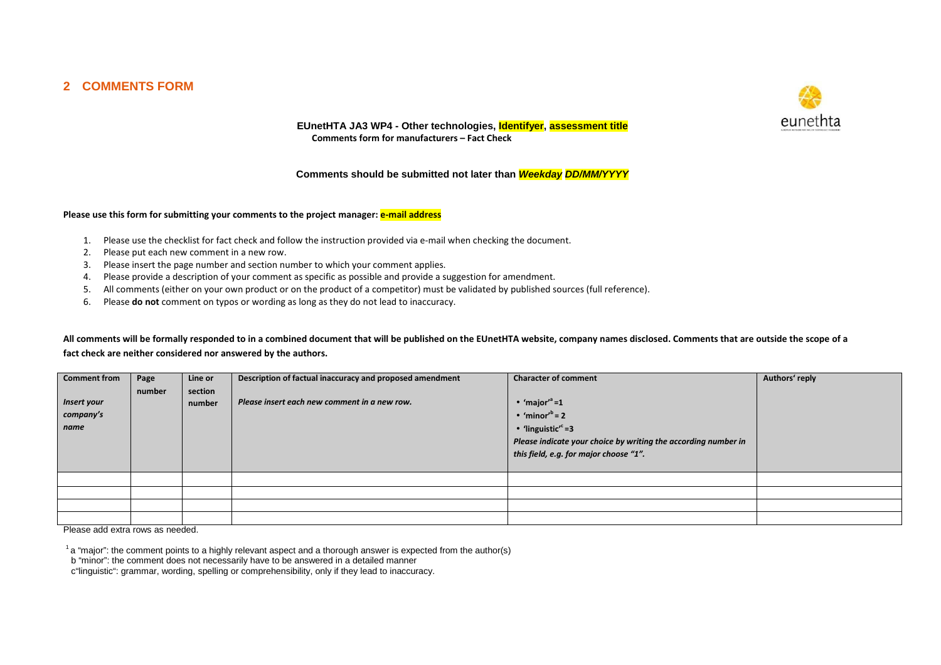### **2 COMMENTS FORM**



**EUnetHTA JA3 WP4 - Other technologies, Identifyer, assessment title Comments form for manufacturers – Fact Check** 

#### **Comments should be submitted not later than Weekday DD/MM/YYYY**

#### Please use this form for submitting your comments to the project manager: **e-mail address**

- 1. Please use the checklist for fact check and follow the instruction provided via e-mail when checking the document.
- 2. Please put each new comment in a new row.
- 3. Please insert the page number and section number to which your comment applies.
- 4. Please provide a description of your comment as specific as possible and provide a suggestion for amendment.
- 5.All comments (either on your own product or on the product of a competitor) must be validated by published sources (full reference).
- 6. Please **do not** comment on typos or wording as long as they do not lead to inaccuracy.

**All comments will be formally responded to in a combined document that will be published on the EUnetHTA website, company names disclosed. Comments that are outside the scope of a fact check are neither considered nor answered by the authors.** 

| <b>Comment from</b><br>Insert your<br>company's<br>  name | Page<br>number | Line or<br>section<br>number | Description of factual inaccuracy and proposed amendment<br>Please insert each new comment in a new row. | <b>Character of comment</b><br>• 'major' $a=1$<br>$\bullet$ 'minor' <sup>b</sup> = 2<br>• 'linguistic' <sup>c</sup> =3<br>Please indicate your choice by writing the according number in<br>this field, e.g. for major choose "1". | Authors' reply |
|-----------------------------------------------------------|----------------|------------------------------|----------------------------------------------------------------------------------------------------------|------------------------------------------------------------------------------------------------------------------------------------------------------------------------------------------------------------------------------------|----------------|
|                                                           |                |                              |                                                                                                          |                                                                                                                                                                                                                                    |                |
|                                                           |                |                              |                                                                                                          |                                                                                                                                                                                                                                    |                |
|                                                           |                |                              |                                                                                                          |                                                                                                                                                                                                                                    |                |
|                                                           |                |                              |                                                                                                          |                                                                                                                                                                                                                                    |                |

Please add extra rows as needed.

<sup>1</sup> a "major": the comment points to a highly relevant aspect and a thorough answer is expected from the author(s)

b "minor": the comment does not necessarily have to be answered in a detailed manner

c"linguistic": grammar, wording, spelling or comprehensibility, only if they lead to inaccuracy.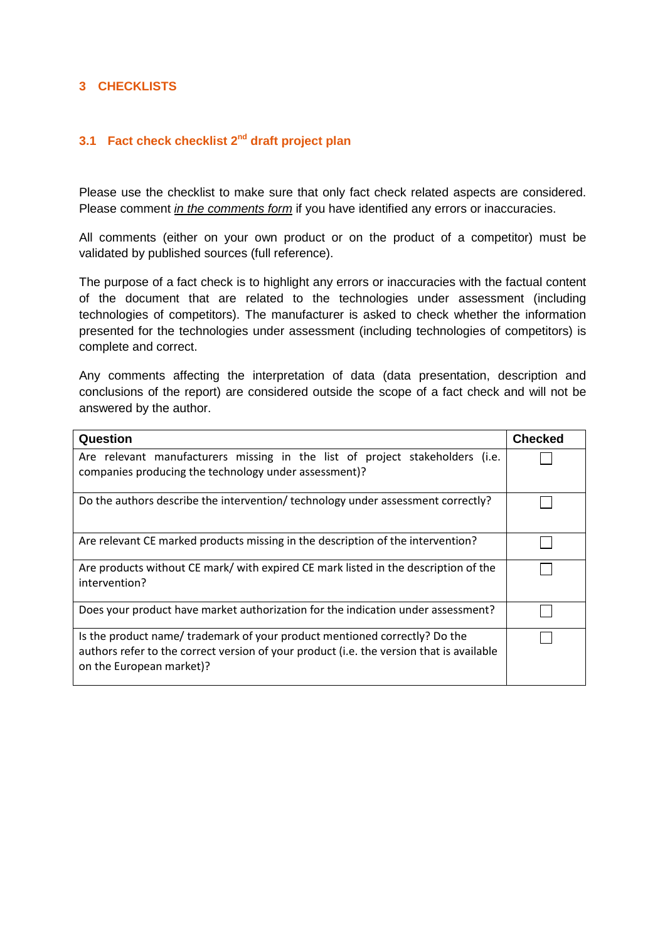## **3 CHECKLISTS**

### **3.1 Fact check checklist 2nd draft project plan**

Please use the checklist to make sure that only fact check related aspects are considered. Please comment *in the comments form* if you have identified any errors or inaccuracies.

All comments (either on your own product or on the product of a competitor) must be validated by published sources (full reference).

The purpose of a fact check is to highlight any errors or inaccuracies with the factual content of the document that are related to the technologies under assessment (including technologies of competitors). The manufacturer is asked to check whether the information presented for the technologies under assessment (including technologies of competitors) is complete and correct.

Any comments affecting the interpretation of data (data presentation, description and conclusions of the report) are considered outside the scope of a fact check and will not be answered by the author.

| Question                                                                                                                                                                                           | <b>Checked</b> |
|----------------------------------------------------------------------------------------------------------------------------------------------------------------------------------------------------|----------------|
| Are relevant manufacturers missing in the list of project stakeholders (i.e.<br>companies producing the technology under assessment)?                                                              |                |
| Do the authors describe the intervention/technology under assessment correctly?                                                                                                                    |                |
| Are relevant CE marked products missing in the description of the intervention?                                                                                                                    |                |
| Are products without CE mark/ with expired CE mark listed in the description of the<br>intervention?                                                                                               |                |
| Does your product have market authorization for the indication under assessment?                                                                                                                   |                |
| Is the product name/ trademark of your product mentioned correctly? Do the<br>authors refer to the correct version of your product (i.e. the version that is available<br>on the European market)? |                |